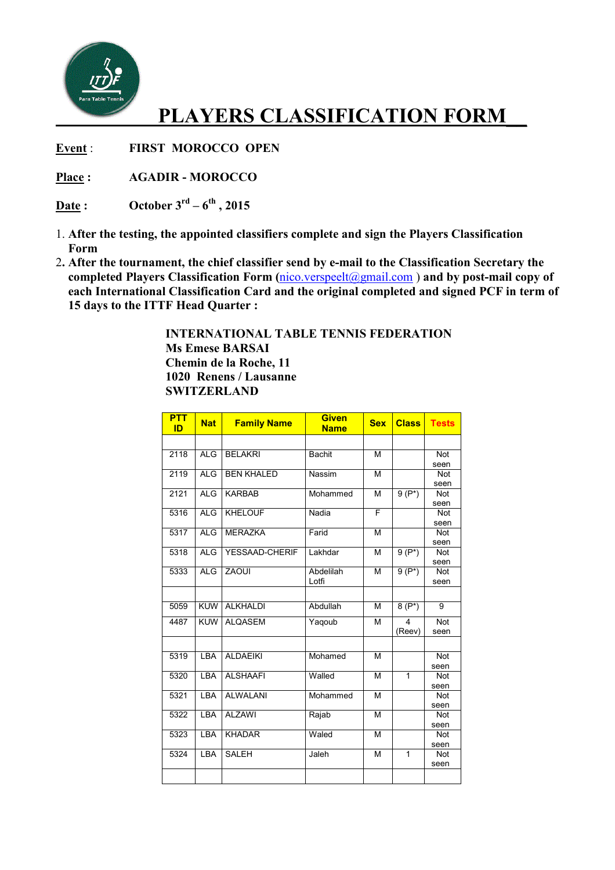

## **PLAYERS CLASSIFICATION FORM\_\_**

**Event** : **FIRST MOROCCO OPEN** 

**Place : AGADIR - MOROCCO**

**Date :** October  $3^{rd} - 6^{th}$ , 2015

- 1. **After the testing, the appointed classifiers complete and sign the Players Classification Form**
- 2**. After the tournament, the chief classifier send by e e-mail to the Classification Secretary the** 2. After the tournament, the chief classifier send by e-mail to the Classification Secretary the completed Players Classification Form ( $\frac{nico.verspeelt(Qgmail.com)}{m}$ ) and by post-mail copy of **each International Classification Card and the original completed and signed PCF in term of 15 days to the ITTF Head Quarter :**

 **INTERNATIONAL TABLE TENNIS FEDERATION Ms Emese BARSAI Chemin de la Roche, 11 1020 Renens / Lausanne SWITZERLAND**

| <b>PTT</b><br>ID | <b>Nat</b> | <b>Family Name</b> | <b>Given</b><br><b>Name</b> | <b>Sex</b> | <b>Class</b>   | <b>Tests</b>   |
|------------------|------------|--------------------|-----------------------------|------------|----------------|----------------|
|                  |            |                    |                             |            |                |                |
| 2118             | <b>ALG</b> | <b>BELAKRI</b>     | <b>Bachit</b>               | M          |                | Not            |
|                  |            |                    |                             |            |                | seen           |
| 2119             | <b>ALG</b> | <b>BEN KHALED</b>  | Nassim                      | M          |                | Not            |
| 2121             | <b>ALG</b> | <b>KARBAB</b>      | Mohammed                    | M          | $9(P^*)$       | seen<br>Not    |
|                  |            |                    |                             |            |                | seen           |
| 5316             | ALG        | <b>KHELOUF</b>     | Nadia                       | F          |                | Not            |
|                  |            |                    |                             |            |                | seen           |
| 5317             | <b>ALG</b> | <b>MERAZKA</b>     | Farid                       | M          |                | Not            |
|                  |            |                    |                             |            |                | seen           |
| 5318             | <b>ALG</b> | YESSAAD-CHERIF     | Lakhdar                     | M          | $9(P^*)$       | Not            |
|                  |            |                    |                             |            |                | seen           |
| 5333             | <b>ALG</b> | <b>ZAOUI</b>       | Abdelilah                   | M          | $9(P^*)$       | Not            |
|                  |            |                    | Lotfi                       |            |                | seen           |
|                  |            |                    |                             |            |                |                |
| 5059             | KUW        | <b>ALKHALDI</b>    | Abdullah                    | M          | $8(P^*)$       | $\overline{9}$ |
| 4487             | <b>KUW</b> | <b>ALQASEM</b>     | Yaqoub                      | M          | 4              | Not            |
|                  |            |                    |                             |            | (Reev)         | seen           |
|                  |            |                    |                             |            |                |                |
| 5319             | <b>LBA</b> | <b>ALDAEIKI</b>    | Mohamed                     | M          |                | Not            |
|                  |            |                    |                             |            |                | seen           |
| 5320             | LBA        | <b>ALSHAAFI</b>    | Walled                      | M          | $\overline{1}$ | Not            |
|                  |            |                    |                             |            |                | seen           |
| 5321             | LBA        | <b>ALWALANI</b>    | Mohammed                    | M          |                | Not            |
|                  |            |                    |                             |            |                | seen           |
| 5322             | LBA        | <b>ALZAWI</b>      | Rajab                       | M          |                | Not            |
| 5323             | LBA        | <b>KHADAR</b>      | Waled                       | M          |                | seen<br>Not    |
|                  |            |                    |                             |            |                | seen           |
| 5324             | LBA        | <b>SALEH</b>       | Jaleh                       | M          | $\mathbf{1}$   | Not            |
|                  |            |                    |                             |            |                | seen           |
|                  |            |                    |                             |            |                |                |
|                  |            |                    |                             |            |                |                |